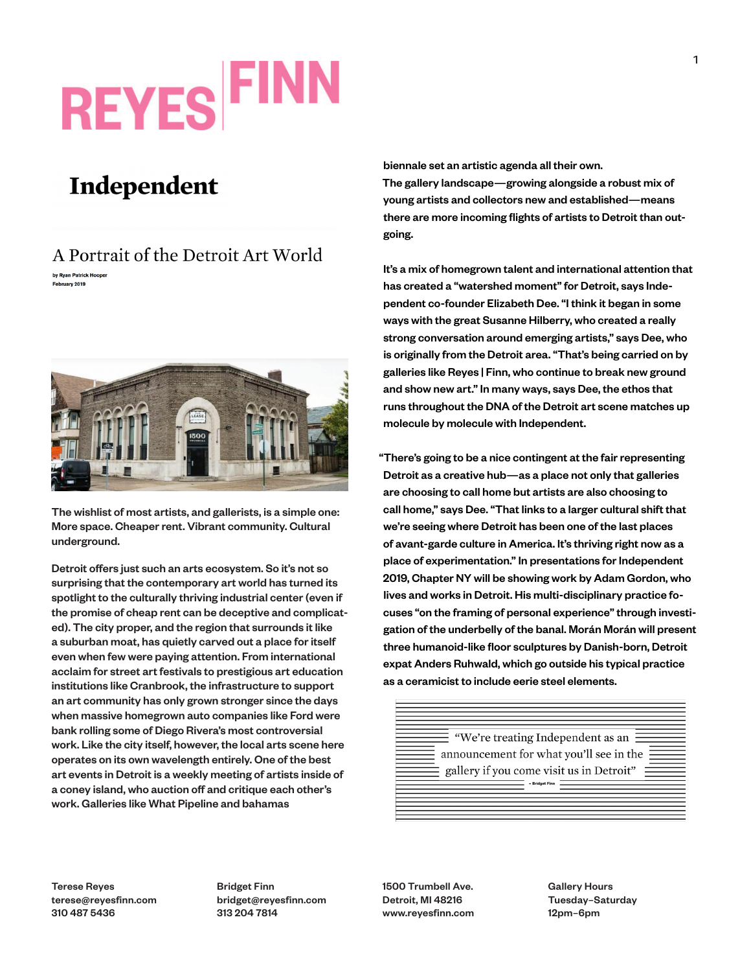## **REYES FIN**

## Independent

## A Portrait of the Detroit Art World by Ryan Patrick Hoope

February 2019



The wishlist of most artists, and gallerists, is a simple one: More space. Cheaper rent. Vibrant community. Cultural underground.

Detroit offers just such an arts ecosystem. So it's not so surprising that the contemporary art world has turned its spotlight to the culturally thriving industrial center (even if the promise of cheap rent can be deceptive and complicated). The city proper, and the region that surrounds it like a suburban moat, has quietly carved out a place for itself even when few were paying attention. From international acclaim for street art festivals to prestigious art education institutions like Cranbrook, the infrastructure to support an art community has only grown stronger since the days when massive homegrown auto companies like Ford were bank rolling some of Diego Rivera's most controversial work. Like the city itself, however, the local arts scene here operates on its own wavelength entirely. One of the best art events in Detroit is a weekly meeting of artists inside of a coney island, who auction off and critique each other's work. Galleries like What Pipeline and bahamas

biennale set an artistic agenda all their own. The gallery landscape—growing alongside a robust mix of young artists and collectors new and established—means there are more incoming flights of artists to Detroit than outgoing.

It's a mix of homegrown talent and international attention that has created a "watershed moment" for Detroit, says Independent co-founder Elizabeth Dee. "I think it began in some ways with the great Susanne Hilberry, who created a really strong conversation around emerging artists," says Dee, who is originally from the Detroit area. "That's being carried on by galleries like Reyes | Finn, who continue to break new ground and show new art." In many ways, says Dee, the ethos that runs throughout the DNA of the Detroit art scene matches up molecule by molecule with Independent.

"There's going to be a nice contingent at the fair representing Detroit as a creative hub—as a place not only that galleries are choosing to call home but artists are also choosing to call home," says Dee. "That links to a larger cultural shift that we're seeing where Detroit has been one of the last places of avant-garde culture in America. It's thriving right now as a place of experimentation." In presentations for Independent 2019, Chapter NY will be showing work by Adam Gordon, who lives and works in Detroit. His multi-disciplinary practice focuses "on the framing of personal experience" through investigation of the underbelly of the banal. Morán Morán will present three humanoid-like floor sculptures by Danish-born, Detroit expat Anders Ruhwald, which go outside his typical practice as a ceramicist to include eerie steel elements.

> $\equiv$  "We're treating Independent as an  $\equiv$ announcement for what you'll see in the : gallery if you come visit us in Detroit"

Terese Reyes terese@reyesfinn.com 310 487 5436

Bridget Finn bridget@reyesfinn.com 313 204 7814

1500 Trumbell Ave. Detroit, MI 48216 www.reyesfinn.com Gallery Hours Tuesday–Saturday 12pm–6pm